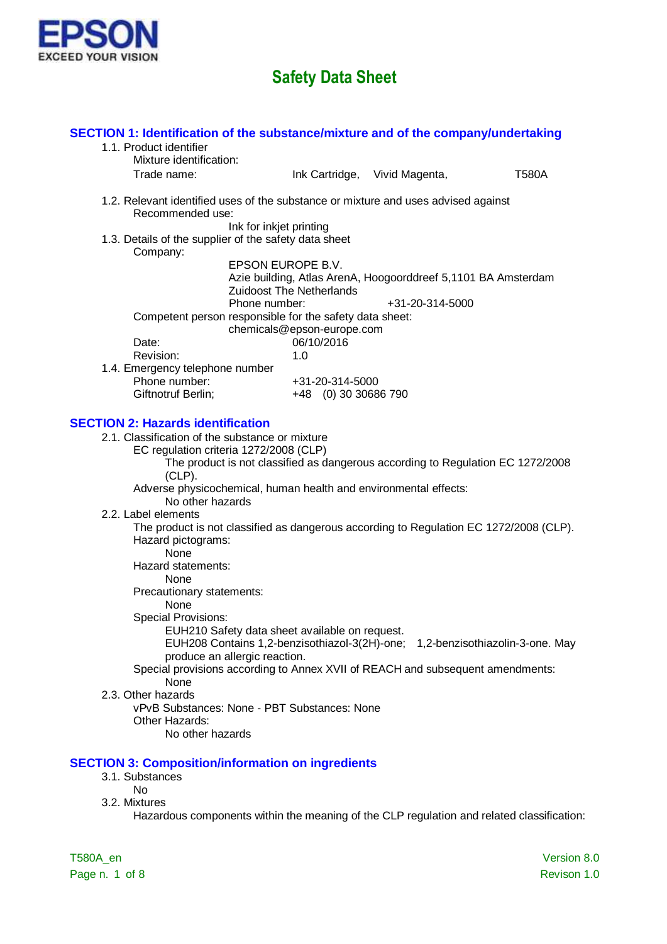

| Mixture identification:                                                                                                                                                                          |
|--------------------------------------------------------------------------------------------------------------------------------------------------------------------------------------------------|
| Trade name:<br>Ink Cartridge, Vivid Magenta,<br><b>T580A</b>                                                                                                                                     |
| 1.2. Relevant identified uses of the substance or mixture and uses advised against<br>Recommended use:                                                                                           |
| Ink for inkjet printing<br>1.3. Details of the supplier of the safety data sheet<br>Company:                                                                                                     |
| EPSON EUROPE B.V.<br>Azie building, Atlas ArenA, Hoogoorddreef 5,1101 BA Amsterdam<br><b>Zuidoost The Netherlands</b>                                                                            |
| Phone number:<br>+31-20-314-5000<br>Competent person responsible for the safety data sheet:<br>chemicals@epson-europe.com                                                                        |
| 06/10/2016<br>Date:<br>Revision:<br>1.0                                                                                                                                                          |
| 1.4. Emergency telephone number<br>Phone number:<br>+31-20-314-5000<br>Giftnotruf Berlin;<br>+48 (0) 30 30686 790                                                                                |
| <b>SECTION 2: Hazards identification</b>                                                                                                                                                         |
| 2.1. Classification of the substance or mixture<br>EC regulation criteria 1272/2008 (CLP)<br>The product is not classified as dangerous according to Regulation EC 1272/2008<br>$(CLP)$ .        |
| Adverse physicochemical, human health and environmental effects:<br>No other hazards                                                                                                             |
| 2.2. Label elements<br>The product is not classified as dangerous according to Regulation EC 1272/2008 (CLP).<br>Hazard pictograms:<br>None                                                      |
| Hazard statements:<br><b>None</b>                                                                                                                                                                |
| Precautionary statements:<br>None<br><b>Special Provisions:</b><br>EUH210 Safety data sheet available on request.                                                                                |
| EUH208 Contains 1,2-benzisothiazol-3(2H)-one; 1,2-benzisothiazolin-3-one. May<br>produce an allergic reaction.<br>Special provisions according to Annex XVII of REACH and subsequent amendments: |
| None<br>2.3. Other hazards<br>vPvB Substances: None - PBT Substances: None<br>Other Hazards:<br>No other hazards                                                                                 |
| <b>SECTION 3: Composition/information on ingredients</b>                                                                                                                                         |
| 3.1. Substances<br><b>No</b><br>3.2. Mixtures<br>Hazardous components within the meaning of the CLP regulation and related classification:                                                       |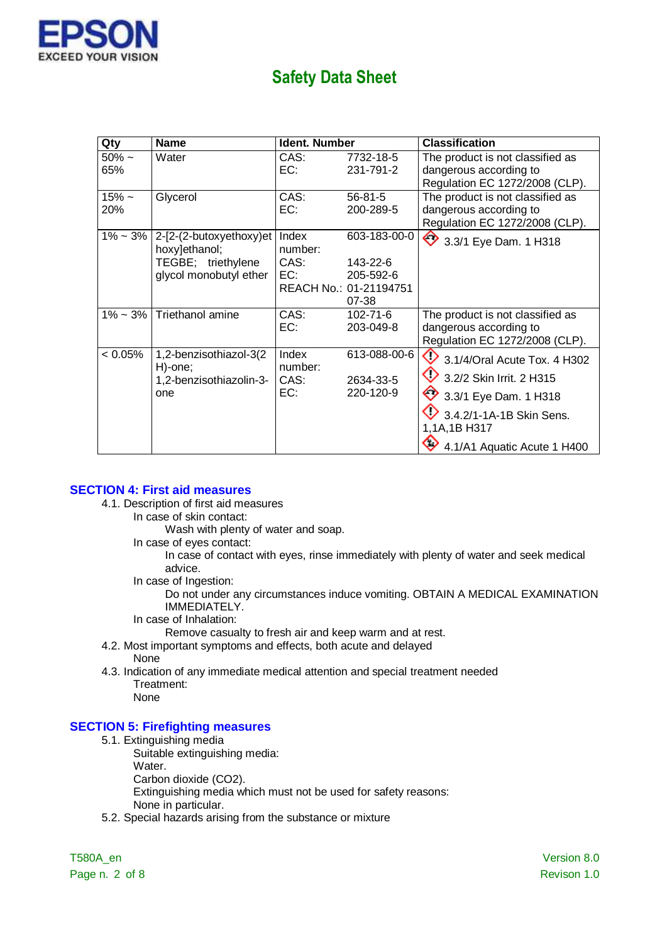

| Qty             | <b>Name</b>                                                                              | <b>Ident. Number</b>            |                                                                          | <b>Classification</b>                                                                                                                                        |
|-----------------|------------------------------------------------------------------------------------------|---------------------------------|--------------------------------------------------------------------------|--------------------------------------------------------------------------------------------------------------------------------------------------------------|
| $50\%$ ~<br>65% | Water                                                                                    | CAS:<br>EC:                     | 7732-18-5<br>231-791-2                                                   | The product is not classified as<br>dangerous according to<br>Regulation EC 1272/2008 (CLP).                                                                 |
| $15% -$<br>20%  | Glycerol                                                                                 | CAS:<br>EC:                     | $56 - 81 - 5$<br>200-289-5                                               | The product is not classified as<br>dangerous according to<br>Regulation EC 1272/2008 (CLP).                                                                 |
| $1\% - 3\%$     | 2-[2-(2-butoxyethoxy)et<br>hoxy]ethanol;<br>TEGBE; triethylene<br>glycol monobutyl ether | Index<br>number:<br>CAS:<br>EC: | 603-183-00-0<br>143-22-6<br>205-592-6<br>REACH No.: 01-21194751<br>07-38 | ◇<br>3.3/1 Eye Dam. 1 H318                                                                                                                                   |
| 1% ~ 3%         | Triethanol amine                                                                         | CAS:<br>EC:                     | $102 - 71 - 6$<br>203-049-8                                              | The product is not classified as<br>dangerous according to<br>Regulation EC 1272/2008 (CLP).                                                                 |
| $< 0.05\%$      | 1,2-benzisothiazol-3(2<br>H)-one;<br>1,2-benzisothiazolin-3-<br>one                      | Index<br>number:<br>CAS:<br>EC: | 613-088-00-6<br>2634-33-5<br>220-120-9                                   | 3.1/4/Oral Acute Tox. 4 H302<br>3.2/2 Skin Irrit. 2 H315<br>3.3/1 Eye Dam. 1 H318<br>3.4.2/1-1A-1B Skin Sens.<br>1,1A,1B H317<br>4.1/A1 Aquatic Acute 1 H400 |

#### **SECTION 4: First aid measures**

- 4.1. Description of first aid measures
	- In case of skin contact:
		- Wash with plenty of water and soap.
		- In case of eyes contact:

In case of contact with eyes, rinse immediately with plenty of water and seek medical advice.

In case of Ingestion:

Do not under any circumstances induce vomiting. OBTAIN A MEDICAL EXAMINATION IMMEDIATELY.

- In case of Inhalation:
	- Remove casualty to fresh air and keep warm and at rest.
- 4.2. Most important symptoms and effects, both acute and delayed None
- 4.3. Indication of any immediate medical attention and special treatment needed Treatment: None

#### **SECTION 5: Firefighting measures**

- 5.1. Extinguishing media
	- Suitable extinguishing media:
		- Water.

Carbon dioxide (CO2).

Extinguishing media which must not be used for safety reasons:

- None in particular.
- 5.2. Special hazards arising from the substance or mixture

Page n. 2 of 8 Revison 1.0

T580A\_en Version 8.0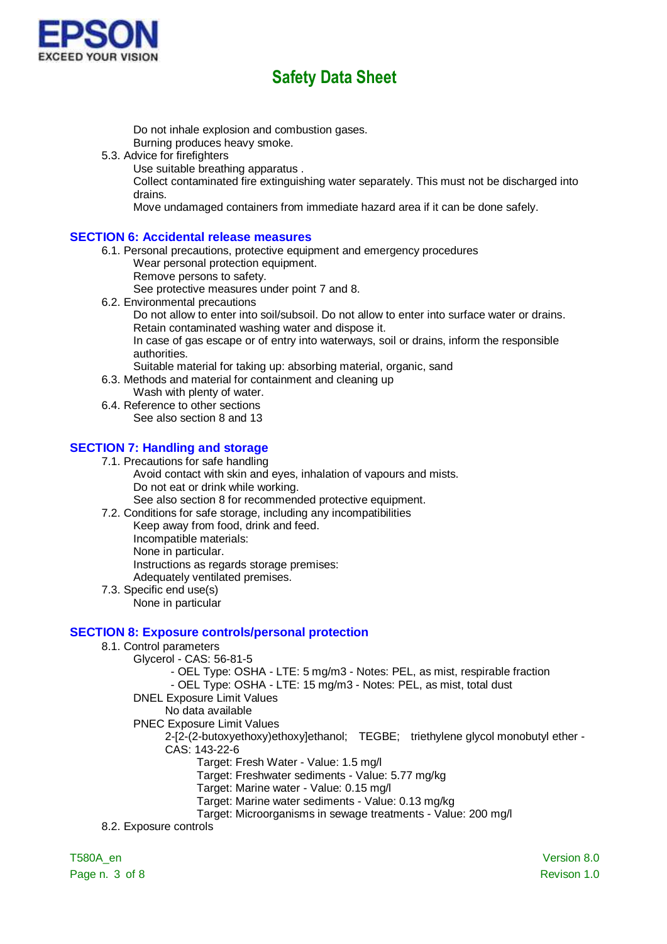

Do not inhale explosion and combustion gases.

Burning produces heavy smoke.

- 5.3. Advice for firefighters
	- Use suitable breathing apparatus .

Collect contaminated fire extinguishing water separately. This must not be discharged into drains.

Move undamaged containers from immediate hazard area if it can be done safely.

### **SECTION 6: Accidental release measures**

- 6.1. Personal precautions, protective equipment and emergency procedures Wear personal protection equipment.
	- Remove persons to safety.

See protective measures under point 7 and 8.

6.2. Environmental precautions Do not allow to enter into soil/subsoil. Do not allow to enter into surface water or drains. Retain contaminated washing water and dispose it. In case of gas escape or of entry into waterways, soil or drains, inform the responsible authorities.

Suitable material for taking up: absorbing material, organic, sand

- 6.3. Methods and material for containment and cleaning up Wash with plenty of water.
- 6.4. Reference to other sections See also section 8 and 13

### **SECTION 7: Handling and storage**

7.1. Precautions for safe handling

Avoid contact with skin and eyes, inhalation of vapours and mists. Do not eat or drink while working.

See also section 8 for recommended protective equipment.

7.2. Conditions for safe storage, including any incompatibilities

- Keep away from food, drink and feed. Incompatible materials: None in particular. Instructions as regards storage premises: Adequately ventilated premises.
- 7.3. Specific end use(s) None in particular

### **SECTION 8: Exposure controls/personal protection**

- 8.1. Control parameters
	- Glycerol CAS: 56-81-5
		- OEL Type: OSHA LTE: 5 mg/m3 Notes: PEL, as mist, respirable fraction

- OEL Type: OSHA - LTE: 15 mg/m3 - Notes: PEL, as mist, total dust

- DNEL Exposure Limit Values
	- No data available
- PNEC Exposure Limit Values

2-[2-(2-butoxyethoxy)ethoxy]ethanol; TEGBE; triethylene glycol monobutyl ether - CAS: 143-22-6

Target: Fresh Water - Value: 1.5 mg/l

Target: Freshwater sediments - Value: 5.77 mg/kg

Target: Marine water - Value: 0.15 mg/l

Target: Marine water sediments - Value: 0.13 mg/kg

Target: Microorganisms in sewage treatments - Value: 200 mg/l

8.2. Exposure controls

Page n. 3 of 8 Revison 1.0

T580A\_en Version 8.0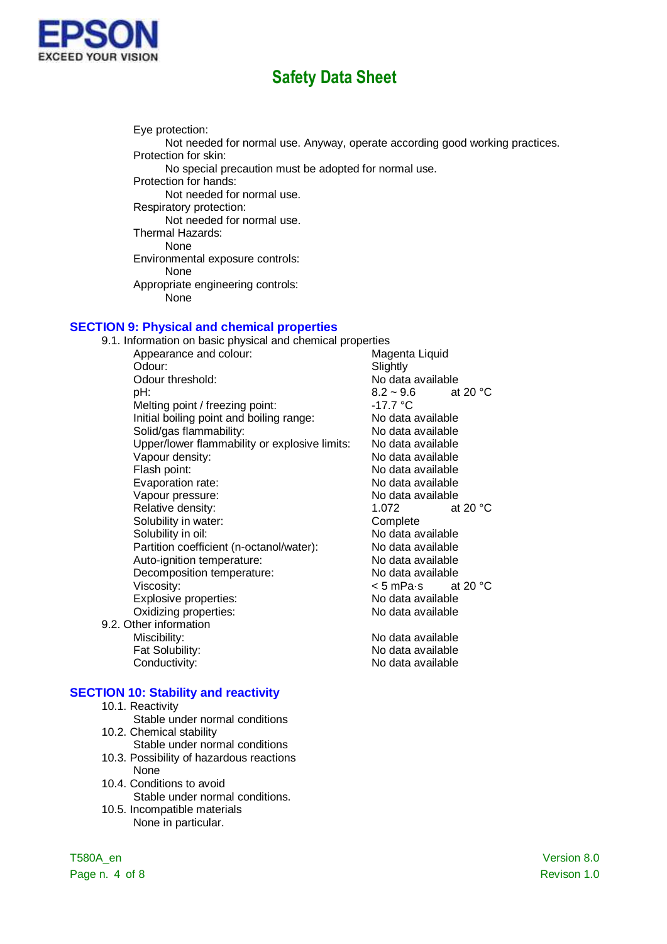

Eye protection: Not needed for normal use. Anyway, operate according good working practices. Protection for skin: No special precaution must be adopted for normal use. Protection for hands: Not needed for normal use. Respiratory protection: Not needed for normal use. Thermal Hazards: None Environmental exposure controls: None Appropriate engineering controls: None

### **SECTION 9: Physical and chemical properties**

| 9.1. Information on basic physical and chemical properties |                                   |
|------------------------------------------------------------|-----------------------------------|
| Appearance and colour:                                     | Magenta Liquid                    |
| Odour:                                                     | Slightly                          |
| Odour threshold:                                           | No data available                 |
| pH:                                                        | $8.2 - 9.6$<br>at 20 $^{\circ}$ C |
| Melting point / freezing point:                            | -17.7 °C                          |
| Initial boiling point and boiling range:                   | No data available                 |
| Solid/gas flammability:                                    | No data available                 |
| Upper/lower flammability or explosive limits:              | No data available                 |
| Vapour density:                                            | No data available                 |
| Flash point:                                               | No data available                 |
| Evaporation rate:                                          | No data available                 |
| Vapour pressure:                                           | No data available                 |
| Relative density:                                          | at 20 °C<br>1.072                 |
| Solubility in water:                                       | Complete                          |
| Solubility in oil:                                         | No data available                 |
| Partition coefficient (n-octanol/water):                   | No data available                 |
| Auto-ignition temperature:                                 | No data available                 |
| Decomposition temperature:                                 | No data available                 |
| Viscosity:                                                 | < 5 mPa•s<br>at 20 $\degree$ C    |
| Explosive properties:                                      | No data available                 |
| Oxidizing properties:                                      | No data available                 |
| 9.2. Other information                                     |                                   |
| Miscibility:                                               | No data available                 |
| Fat Solubility:                                            | No data available                 |
| Conductivity:                                              | No data available                 |

#### **SECTION 10: Stability and reactivity**

- 10.1. Reactivity
- Stable under normal conditions 10.2. Chemical stability
- Stable under normal conditions
- 10.3. Possibility of hazardous reactions None
- 10.4. Conditions to avoid Stable under normal conditions.
- 10.5. Incompatible materials None in particular.

Page n. 4 of 8 Revison 1.0

T580A\_en Version 8.0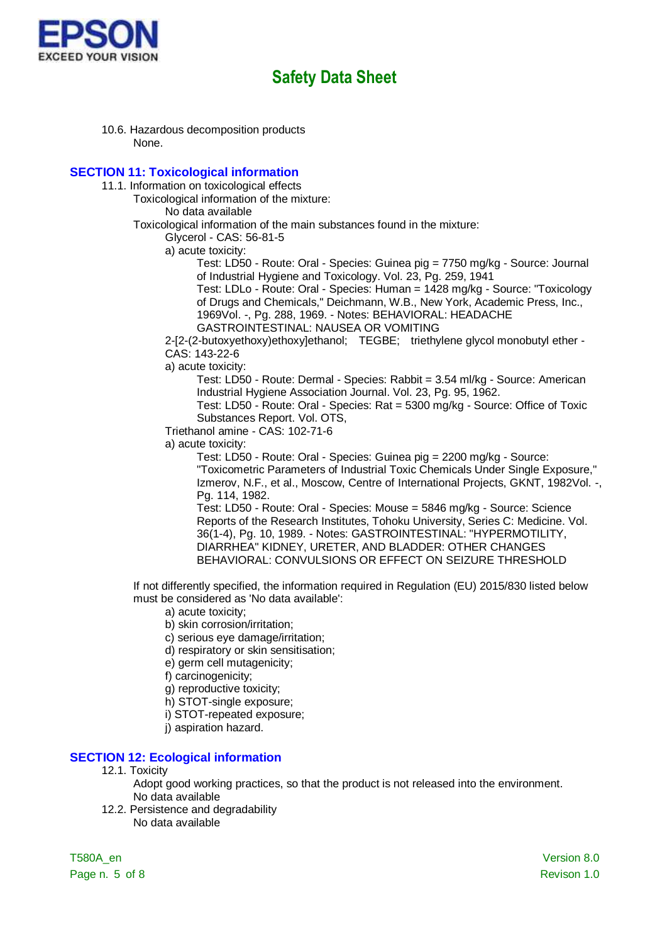

10.6. Hazardous decomposition products None.

#### **SECTION 11: Toxicological information**

- 11.1. Information on toxicological effects
	- Toxicological information of the mixture:

No data available

Toxicological information of the main substances found in the mixture:

Glycerol - CAS: 56-81-5

a) acute toxicity:

Test: LD50 - Route: Oral - Species: Guinea pig = 7750 mg/kg - Source: Journal of Industrial Hygiene and Toxicology. Vol. 23, Pg. 259, 1941

Test: LDLo - Route: Oral - Species: Human = 1428 mg/kg - Source: "Toxicology of Drugs and Chemicals," Deichmann, W.B., New York, Academic Press, Inc., 1969Vol. -, Pg. 288, 1969. - Notes: BEHAVIORAL: HEADACHE

GASTROINTESTINAL: NAUSEA OR VOMITING

2-[2-(2-butoxyethoxy)ethoxy]ethanol; TEGBE; triethylene glycol monobutyl ether - CAS: 143-22-6

a) acute toxicity:

Test: LD50 - Route: Dermal - Species: Rabbit = 3.54 ml/kg - Source: American Industrial Hygiene Association Journal. Vol. 23, Pg. 95, 1962.

Test: LD50 - Route: Oral - Species: Rat = 5300 mg/kg - Source: Office of Toxic Substances Report. Vol. OTS,

Triethanol amine - CAS: 102-71-6

a) acute toxicity:

Test: LD50 - Route: Oral - Species: Guinea pig = 2200 mg/kg - Source: "Toxicometric Parameters of Industrial Toxic Chemicals Under Single Exposure," Izmerov, N.F., et al., Moscow, Centre of International Projects, GKNT, 1982Vol. -, Pg. 114, 1982.

Test: LD50 - Route: Oral - Species: Mouse = 5846 mg/kg - Source: Science Reports of the Research Institutes, Tohoku University, Series C: Medicine. Vol. 36(1-4), Pg. 10, 1989. - Notes: GASTROINTESTINAL: "HYPERMOTILITY, DIARRHEA" KIDNEY, URETER, AND BLADDER: OTHER CHANGES BEHAVIORAL: CONVULSIONS OR EFFECT ON SEIZURE THRESHOLD

If not differently specified, the information required in Regulation (EU) 2015/830 listed below must be considered as 'No data available':

- a) acute toxicity;
- b) skin corrosion/irritation;
- c) serious eye damage/irritation;
- d) respiratory or skin sensitisation;
- e) germ cell mutagenicity;
- f) carcinogenicity;
- g) reproductive toxicity;
- h) STOT-single exposure;
- i) STOT-repeated exposure;
- j) aspiration hazard.

#### **SECTION 12: Ecological information**

- 12.1. Toxicity
	- Adopt good working practices, so that the product is not released into the environment. No data available
- 12.2. Persistence and degradability No data available

T580A\_en Version 8.0 Page n. 5 of 8 Revison 1.0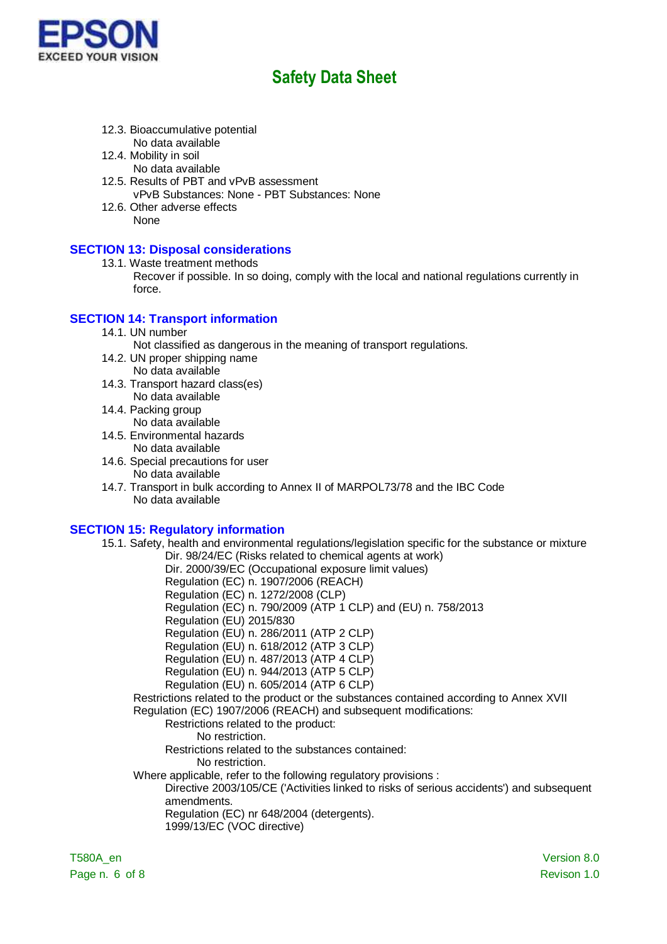

- 12.3. Bioaccumulative potential No data available
- 12.4. Mobility in soil
	- No data available
- 12.5. Results of PBT and vPvB assessment vPvB Substances: None - PBT Substances: None
- 12.6. Other adverse effects None

## **SECTION 13: Disposal considerations**

- 13.1. Waste treatment methods
	- Recover if possible. In so doing, comply with the local and national regulations currently in force.

## **SECTION 14: Transport information**

14.1. UN number

Not classified as dangerous in the meaning of transport regulations.

- 14.2. UN proper shipping name No data available
- 14.3. Transport hazard class(es) No data available
- 14.4. Packing group No data available
- 14.5. Environmental hazards No data available
- 14.6. Special precautions for user
	- No data available
- 14.7. Transport in bulk according to Annex II of MARPOL73/78 and the IBC Code No data available

### **SECTION 15: Regulatory information**

15.1. Safety, health and environmental regulations/legislation specific for the substance or mixture Dir. 98/24/EC (Risks related to chemical agents at work)

Dir. 2000/39/EC (Occupational exposure limit values)

Regulation (EC) n. 1907/2006 (REACH)

Regulation (EC) n. 1272/2008 (CLP)

- Regulation (EC) n. 790/2009 (ATP 1 CLP) and (EU) n. 758/2013
- Regulation (EU) 2015/830
- Regulation (EU) n. 286/2011 (ATP 2 CLP)

Regulation (EU) n. 618/2012 (ATP 3 CLP)

Regulation (EU) n. 487/2013 (ATP 4 CLP)

- Regulation (EU) n. 944/2013 (ATP 5 CLP)
- Regulation (EU) n. 605/2014 (ATP 6 CLP)

Restrictions related to the product or the substances contained according to Annex XVII Regulation (EC) 1907/2006 (REACH) and subsequent modifications:

#### Restrictions related to the product:

No restriction.

Restrictions related to the substances contained:

- No restriction.
- Where applicable, refer to the following regulatory provisions :

Directive 2003/105/CE ('Activities linked to risks of serious accidents') and subsequent amendments.

Regulation (EC) nr 648/2004 (detergents).

1999/13/EC (VOC directive)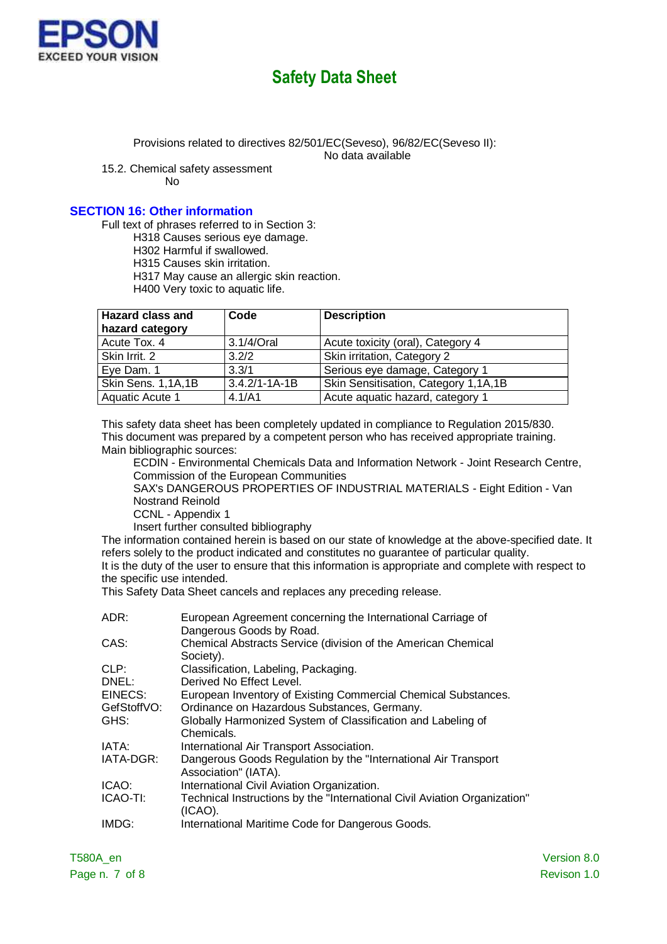

Provisions related to directives 82/501/EC(Seveso), 96/82/EC(Seveso II):

No data available

15.2. Chemical safety assessment

No

### **SECTION 16: Other information**

Full text of phrases referred to in Section 3:

H318 Causes serious eye damage.

H302 Harmful if swallowed.

H315 Causes skin irritation.

H317 May cause an allergic skin reaction.

H400 Very toxic to aquatic life.

| <b>Hazard class and</b> | Code                | <b>Description</b>                   |
|-------------------------|---------------------|--------------------------------------|
| hazard category         |                     |                                      |
| Acute Tox. 4            | 3.1/4/Oral          | Acute toxicity (oral), Category 4    |
| Skin Irrit. 2           | 3.2/2               | Skin irritation, Category 2          |
| Eye Dam. 1              | 3.3/1               | Serious eye damage, Category 1       |
| Skin Sens. 1,1A,1B      | $3.4.2/1 - 1A - 1B$ | Skin Sensitisation, Category 1,1A,1B |
| Aquatic Acute 1         | 4.1/A1              | Acute aquatic hazard, category 1     |

This safety data sheet has been completely updated in compliance to Regulation 2015/830. This document was prepared by a competent person who has received appropriate training. Main bibliographic sources:

ECDIN - Environmental Chemicals Data and Information Network - Joint Research Centre, Commission of the European Communities

SAX's DANGEROUS PROPERTIES OF INDUSTRIAL MATERIALS - Eight Edition - Van Nostrand Reinold

CCNL - Appendix 1

Insert further consulted bibliography

The information contained herein is based on our state of knowledge at the above-specified date. It refers solely to the product indicated and constitutes no guarantee of particular quality. It is the duty of the user to ensure that this information is appropriate and complete with respect to the specific use intended.

This Safety Data Sheet cancels and replaces any preceding release.

| ADR:        | European Agreement concerning the International Carriage of<br>Dangerous Goods by Road. |
|-------------|-----------------------------------------------------------------------------------------|
| CAS:        | Chemical Abstracts Service (division of the American Chemical<br>Society).              |
| CLP:        | Classification, Labeling, Packaging.                                                    |
| DNEL:       | Derived No Effect Level.                                                                |
| EINECS:     | European Inventory of Existing Commercial Chemical Substances.                          |
| GefStoffVO: | Ordinance on Hazardous Substances, Germany.                                             |
| GHS:        | Globally Harmonized System of Classification and Labeling of<br>Chemicals.              |
| IATA:       | International Air Transport Association.                                                |
| IATA-DGR:   | Dangerous Goods Regulation by the "International Air Transport<br>Association" (IATA).  |
| ICAO:       | International Civil Aviation Organization.                                              |
| ICAO-TI:    | Technical Instructions by the "International Civil Aviation Organization"<br>(ICAO).    |
| IMDG:       | International Maritime Code for Dangerous Goods.                                        |